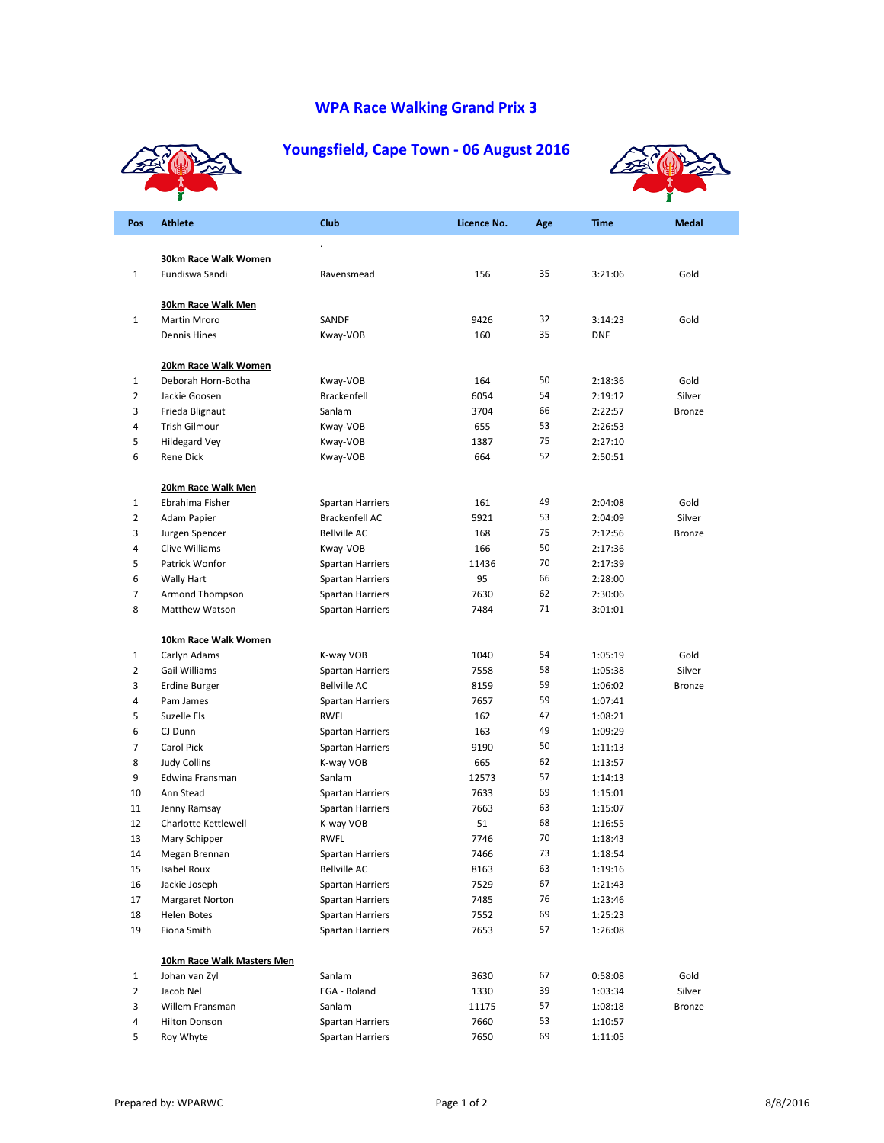## **WPA Race Walking Grand Prix 3**



## **Youngsfield, Cape Town ‐ 06 August 2016**



| Pos            | <b>Athlete</b>                         | Club                    | Licence No. | Age | <b>Time</b> | <b>Medal</b> |
|----------------|----------------------------------------|-------------------------|-------------|-----|-------------|--------------|
|                |                                        |                         |             |     |             |              |
| $\mathbf{1}$   | 30km Race Walk Women<br>Fundiswa Sandi | Ravensmead              | 156         | 35  | 3:21:06     | Gold         |
|                |                                        |                         |             |     |             |              |
|                | 30km Race Walk Men                     |                         |             |     |             |              |
| $\mathbf{1}$   | Martin Mroro                           | SANDF                   | 9426        | 32  | 3:14:23     | Gold         |
|                | Dennis Hines                           | Kway-VOB                | 160         | 35  | <b>DNF</b>  |              |
|                | 20km Race Walk Women                   |                         |             |     |             |              |
| $\mathbf{1}$   | Deborah Horn-Botha                     | Kway-VOB                | 164         | 50  | 2:18:36     | Gold         |
| $\overline{2}$ | Jackie Goosen                          | Brackenfell             | 6054        | 54  | 2:19:12     | Silver       |
| 3              | Frieda Blignaut                        | Sanlam                  | 3704        | 66  | 2:22:57     | Bronze       |
| 4              | Trish Gilmour                          | Kway-VOB                | 655         | 53  | 2:26:53     |              |
| 5              | <b>Hildegard Vey</b>                   | Kway-VOB                | 1387        | 75  | 2:27:10     |              |
| 6              | Rene Dick                              | Kway-VOB                | 664         | 52  | 2:50:51     |              |
|                | 20km Race Walk Men                     |                         |             |     |             |              |
| $\mathbf{1}$   | Ebrahima Fisher                        | Spartan Harriers        | 161         | 49  | 2:04:08     | Gold         |
| $\overline{2}$ | Adam Papier                            | Brackenfell AC          | 5921        | 53  | 2:04:09     | Silver       |
| 3              | Jurgen Spencer                         | <b>Bellville AC</b>     | 168         | 75  | 2:12:56     | Bronze       |
| 4              | Clive Williams                         | Kway-VOB                | 166         | 50  | 2:17:36     |              |
| 5              | Patrick Wonfor                         | Spartan Harriers        | 11436       | 70  | 2:17:39     |              |
| 6              | Wally Hart                             | Spartan Harriers        | 95          | 66  | 2:28:00     |              |
| $\overline{7}$ | Armond Thompson                        | Spartan Harriers        | 7630        | 62  | 2:30:06     |              |
| 8              | Matthew Watson                         | Spartan Harriers        | 7484        | 71  | 3:01:01     |              |
|                | 10km Race Walk Women                   |                         |             |     |             |              |
| $\mathbf{1}$   | Carlyn Adams                           | K-way VOB               | 1040        | 54  | 1:05:19     | Gold         |
| $\overline{2}$ | Gail Williams                          | Spartan Harriers        | 7558        | 58  | 1:05:38     | Silver       |
| 3              | <b>Erdine Burger</b>                   | <b>Bellville AC</b>     | 8159        | 59  | 1:06:02     | Bronze       |
| 4              | Pam James                              | Spartan Harriers        | 7657        | 59  | 1:07:41     |              |
| 5              | Suzelle Els                            | <b>RWFL</b>             | 162         | 47  | 1:08:21     |              |
| 6              | CJ Dunn                                | Spartan Harriers        | 163         | 49  | 1:09:29     |              |
| $\overline{7}$ | Carol Pick                             | Spartan Harriers        | 9190        | 50  | 1:11:13     |              |
| 8              | Judy Collins                           | K-way VOB               | 665         | 62  | 1:13:57     |              |
| 9              | Edwina Fransman                        | Sanlam                  | 12573       | 57  | 1:14:13     |              |
| 10             | Ann Stead                              | Spartan Harriers        | 7633        | 69  | 1:15:01     |              |
| 11             | Jenny Ramsay                           | Spartan Harriers        | 7663        | 63  | 1:15:07     |              |
| 12             | <b>Charlotte Kettlewell</b>            | K-way VOB               | 51          | 68  | 1:16:55     |              |
| 13             | Mary Schipper                          | <b>RWFL</b>             | 7746        | 70  | 1:18:43     |              |
| 14             | Megan Brennan                          | Spartan Harriers        | 7466        | 73  | 1:18:54     |              |
| 15             | Isabel Roux                            | Bellville AC            | 8163        | 63  | 1:19:16     |              |
| 16             | Jackie Joseph                          | <b>Spartan Harriers</b> | 7529        | 67  | 1:21:43     |              |
| 17             | <b>Margaret Norton</b>                 | Spartan Harriers        | 7485        | 76  | 1:23:46     |              |
| 18             | Helen Botes                            | Spartan Harriers        | 7552        | 69  | 1:25:23     |              |
| 19             | Fiona Smith                            | <b>Spartan Harriers</b> | 7653        | 57  | 1:26:08     |              |
|                | 10km Race Walk Masters Men             |                         |             |     |             |              |
| $\mathbf{1}$   | Johan van Zyl                          | Sanlam                  | 3630        | 67  | 0:58:08     | Gold         |
| $\overline{2}$ | Jacob Nel                              | EGA - Boland            | 1330        | 39  | 1:03:34     | Silver       |
| 3              | Willem Fransman                        | Sanlam                  | 11175       | 57  | 1:08:18     | Bronze       |
| 4              | Hilton Donson                          | Spartan Harriers        | 7660        | 53  | 1:10:57     |              |
| 5              | Roy Whyte                              | Spartan Harriers        | 7650        | 69  | 1:11:05     |              |